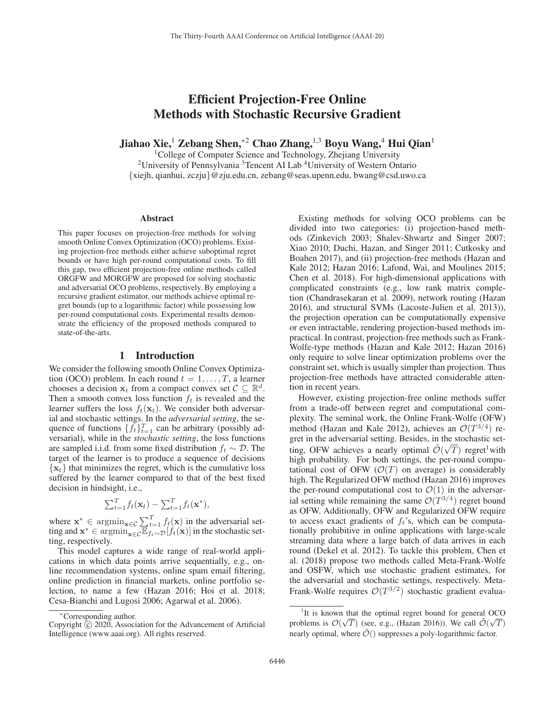# Efficient Projection-Free Online Methods with Stochastic Recursive Gradient

Jiahao Xie,<sup>1</sup> Zebang Shen,<sup>∗2</sup> Chao Zhang,<sup>1,3</sup> Boyu Wang,<sup>4</sup> Hui Qian<sup>1</sup>

<sup>1</sup>College of Computer Science and Technology, Zhejiang University <sup>2</sup>University of Pennsylvania <sup>3</sup>Tencent AI Lab <sup>4</sup>University of Western Ontario {xiejh, qianhui, zczju}@zju.edu.cn, zebang@seas.upenn.edu, bwang@csd.uwo.ca

#### Abstract

This paper focuses on projection-free methods for solving smooth Online Convex Optimization (OCO) problems. Existing projection-free methods either achieve suboptimal regret bounds or have high per-round computational costs. To fill this gap, two efficient projection-free online methods called ORGFW and MORGFW are proposed for solving stochastic and adversarial OCO problems, respectively. By employing a recursive gradient estimator, our methods achieve optimal regret bounds (up to a logarithmic factor) while possessing low per-round computational costs. Experimental results demonstrate the efficiency of the proposed methods compared to state-of-the-arts.

#### 1 Introduction

We consider the following smooth Online Convex Optimization (OCO) problem. In each round  $t = 1, \ldots, T$ , a learner chooses a decision  $\mathbf{x}_t$  from a compact convex set  $\mathcal{C} \subseteq \mathbb{R}^d$ . Then a smooth convex loss function  $f_t$  is revealed and the learner suffers the loss  $f_t(\mathbf{x}_t)$ . We consider both adversarial and stochastic settings. In the *adversarial setting*, the sequence of functions  $\{f_t\}_{t=1}^T$  can be arbitrary (possibly adversarial), while in the *stochastic setting*, the loss functions are sampled i.i.d. from some fixed distribution  $f_t \sim \mathcal{D}$ . The target of the learner is to produce a sequence of decisions  $\{x_t\}$  that minimizes the regret, which is the cumulative loss suffered by the learner compared to that of the best fixed decision in hindsight, i.e.,

$$
\sum_{t=1}^T f_t(\mathbf{x}_t) - \sum_{t=1}^T f_t(\mathbf{x}^*),
$$

where  $\mathbf{x}^*$  ∈ argmin<sub> $\mathbf{x} \in \mathcal{C}$   $\sum_{t=1}^T f_t(\mathbf{x})$  in the adversarial setting and  $\mathbf{x}^*$  ∈ argmin  $\sum_{t=1}^T f_t(\mathbf{x})$  in the stochastic set-</sub> ting and  $\mathbf{x}^*$  ∈ argmin<sub> $\mathbf{x} \in c \mathbb{E}$   $\mathbb{E}$ <sub> $t \sim D[f_t(\mathbf{x})]$ </sub> in the stochastic setting respectively</sub> ting, respectively.

This model captures a wide range of real-world applications in which data points arrive sequentially, e.g., online recommendation systems, online spam email filtering, online prediction in financial markets, online portfolio selection, to name a few (Hazan 2016; Hoi et al. 2018; Cesa-Bianchi and Lugosi 2006; Agarwal et al. 2006).

Existing methods for solving OCO problems can be divided into two categories: (i) projection-based methods (Zinkevich 2003; Shalev-Shwartz and Singer 2007; Xiao 2010; Duchi, Hazan, and Singer 2011; Cutkosky and Boahen 2017), and (ii) projection-free methods (Hazan and Kale 2012; Hazan 2016; Lafond, Wai, and Moulines 2015; Chen et al. 2018). For high-dimensional applications with complicated constraints (e.g., low rank matrix completion (Chandrasekaran et al. 2009), network routing (Hazan 2016), and structural SVMs (Lacoste-Julien et al. 2013)), the projection operation can be computationally expensive or even intractable, rendering projection-based methods impractical. In contrast, projection-free methods such as Frank-Wolfe-type methods (Hazan and Kale 2012; Hazan 2016) only require to solve linear optimization problems over the constraint set, which is usually simpler than projection. Thus projection-free methods have attracted considerable attention in recent years.

However, existing projection-free online methods suffer from a trade-off between regret and computational complexity. The seminal work, the Online Frank-Wolfe (OFW) method (Hazan and Kale 2012), achieves an  $\mathcal{O}(T^{3/4})$  regret in the adversarial setting. Besides, in the stochastic set-<br> $\tilde{\sigma}(\sqrt{m})$ ting, OFW achieves a nearly optimal  $\tilde{\mathcal{O}}(\sqrt{T})$  regret<sup>1</sup> with high probability. For both settings the per-round compuhigh probability. For both settings, the per-round computational cost of OFW  $(\mathcal{O}(T))$  on average) is considerably high. The Regularized OFW method (Hazan 2016) improves the per-round computational cost to  $\mathcal{O}(1)$  in the adversarial setting while remaining the same  $\mathcal{O}(T^{3/4})$  regret bound as OFW. Additionally, OFW and Regularized OFW require to access exact gradients of  $f_t$ 's, which can be computationally prohibitive in online applications with large-scale streaming data where a large batch of data arrives in each round (Dekel et al. 2012). To tackle this problem, Chen et al. (2018) propose two methods called Meta-Frank-Wolfe and OSFW, which use stochastic gradient estimates, for the adversarial and stochastic settings, respectively. Meta-Frank-Wolfe requires  $\mathcal{O}(T^{3/2})$  stochastic gradient evalua-

<sup>∗</sup>Corresponding author.

Copyright  $\odot$  2020, Association for the Advancement of Artificial Intelligence (www.aaai.org). All rights reserved.

<sup>&</sup>lt;sup>1</sup>It is known that the optimal regret bound for general OCO problems is  $\mathcal{O}(\sqrt{T})$  (see, e.g., (Hazan 2016)). We call  $\mathcal{O}(\sqrt{T})$ nearly optimal, where  $\tilde{\mathcal{O}}($ ) suppresses a poly-logarithmic factor.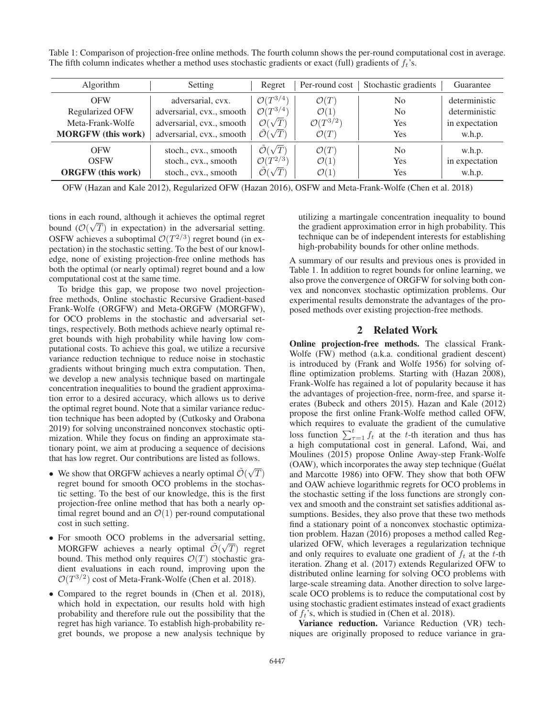Table 1: Comparison of projection-free online methods. The fourth column shows the per-round computational cost in average. The fifth column indicates whether a method uses stochastic gradients or exact (full) gradients of  $f_t$ 's.

| Algorithm                 | Setting                   | Regret                          | Per-round cost         | Stochastic gradients | Guarantee      |
|---------------------------|---------------------------|---------------------------------|------------------------|----------------------|----------------|
| <b>OFW</b>                | adversarial, cvx.         | $\mathcal{O}(T^{3/4})$          | $\mathcal{O}(T)$       | N <sub>0</sub>       | deterministic  |
| Regularized OFW           | adversarial, cvx., smooth | $\mathcal{O}(T^{3/4})$          | $\mathcal{O}(1)$       | N <sub>0</sub>       | deterministic  |
| Meta-Frank-Wolfe          | adversarial, cvx., smooth | $\mathcal{O}(\sqrt{T})$         | $\mathcal{O}(T^{3/2})$ | Yes                  | in expectation |
| <b>MORGFW</b> (this work) | adversarial, cvx., smooth | $\tilde{\mathcal{O}}(\sqrt{T})$ | $\mathcal{O}(T)$       | Yes                  | w.h.p.         |
| <b>OFW</b>                | stoch., cvx., smooth      | $\tilde{\mathcal{O}}(\sqrt{T})$ | $\mathcal{O}(T)$       | N <sub>0</sub>       | w.h.p.         |
| <b>OSFW</b>               | stoch., cvx., smooth      | $\mathcal{O}(T^{2/3})$          | $\mathcal{O}(1)$       | Yes                  | in expectation |
| <b>ORGFW</b> (this work)  | stoch., cvx., smooth      | $\tilde{\mathcal{O}}(\sqrt{T})$ | $\mathcal{O}(1)$       | Yes                  | w.h.p.         |

OFW (Hazan and Kale 2012), Regularized OFW (Hazan 2016), OSFW and Meta-Frank-Wolfe (Chen et al. 2018)

tions in each round, although it achieves the optimal regret bound ( $\mathcal{O}(\sqrt{T})$  in expectation) in the adversarial setting.<br>OSEW achieves a subontimal  $\mathcal{O}(T^{2/3})$  regret bound (in ex-OSFW achieves a suboptimal  $\mathcal{O}(T^{2/3})$  regret bound (in expectation) in the stochastic setting. To the best of our knowledge, none of existing projection-free online methods has both the optimal (or nearly optimal) regret bound and a low computational cost at the same time.

To bridge this gap, we propose two novel projectionfree methods, Online stochastic Recursive Gradient-based Frank-Wolfe (ORGFW) and Meta-ORGFW (MORGFW), for OCO problems in the stochastic and adversarial settings, respectively. Both methods achieve nearly optimal regret bounds with high probability while having low computational costs. To achieve this goal, we utilize a recursive variance reduction technique to reduce noise in stochastic gradients without bringing much extra computation. Then, we develop a new analysis technique based on martingale concentration inequalities to bound the gradient approximation error to a desired accuracy, which allows us to derive the optimal regret bound. Note that a similar variance reduction technique has been adopted by (Cutkosky and Orabona 2019) for solving unconstrained nonconvex stochastic optimization. While they focus on finding an approximate stationary point, we aim at producing a sequence of decisions that has low regret. Our contributions are listed as follows. √

- We show that ORGFW achieves a nearly optimal  $\mathcal{O}(\overline{\mathcal{O}})$  regret bound for smooth OCO problems in the stoc T)<br>asregret bound for smooth OCO problems in the stochastic setting. To the best of our knowledge, this is the first projection-free online method that has both a nearly optimal regret bound and an  $\mathcal{O}(1)$  per-round computational cost in such setting.
- For smooth OCO problems in the adversarial setting, MORGFW achieves a nearly optimal  $\mathcal{O}(\sqrt{T})$  regret bound This method only requires  $\mathcal{O}(T)$  stochastic grabound. This method only requires  $\mathcal{O}(T)$  stochastic gradient evaluations in each round, improving upon the  $\mathcal{O}(T^{3/2})$  cost of Meta-Frank-Wolfe (Chen et al. 2018).
- Compared to the regret bounds in (Chen et al. 2018), which hold in expectation, our results hold with high probability and therefore rule out the possibility that the regret has high variance. To establish high-probability regret bounds, we propose a new analysis technique by

utilizing a martingale concentration inequality to bound the gradient approximation error in high probability. This technique can be of independent interests for establishing high-probability bounds for other online methods.

A summary of our results and previous ones is provided in Table 1. In addition to regret bounds for online learning, we also prove the convergence of ORGFW for solving both convex and nonconvex stochastic optimization problems. Our experimental results demonstrate the advantages of the proposed methods over existing projection-free methods.

### 2 Related Work

Online projection-free methods. The classical Frank-Wolfe (FW) method (a.k.a. conditional gradient descent) is introduced by (Frank and Wolfe 1956) for solving offline optimization problems. Starting with (Hazan 2008), Frank-Wolfe has regained a lot of popularity because it has the advantages of projection-free, norm-free, and sparse iterates (Bubeck and others 2015). Hazan and Kale (2012) propose the first online Frank-Wolfe method called OFW, which requires to evaluate the gradient of the cumulative loss function  $\sum_{\tau=1}^{t} f_t$  at the t-th iteration and thus has a high computational cost in general. Lafond, Wai, and Moulines (2015) propose Online Away-step Frank-Wolfe (OAW), which incorporates the away step technique (Guélat and Marcotte 1986) into OFW. They show that both OFW and OAW achieve logarithmic regrets for OCO problems in the stochastic setting if the loss functions are strongly convex and smooth and the constraint set satisfies additional assumptions. Besides, they also prove that these two methods find a stationary point of a nonconvex stochastic optimization problem. Hazan (2016) proposes a method called Regularized OFW, which leverages a regularization technique and only requires to evaluate one gradient of  $f_t$  at the t-th iteration. Zhang et al. (2017) extends Regularized OFW to distributed online learning for solving OCO problems with large-scale streaming data. Another direction to solve largescale OCO problems is to reduce the computational cost by using stochastic gradient estimates instead of exact gradients of  $f_t$ 's, which is studied in (Chen et al. 2018).

Variance reduction. Variance Reduction (VR) techniques are originally proposed to reduce variance in gra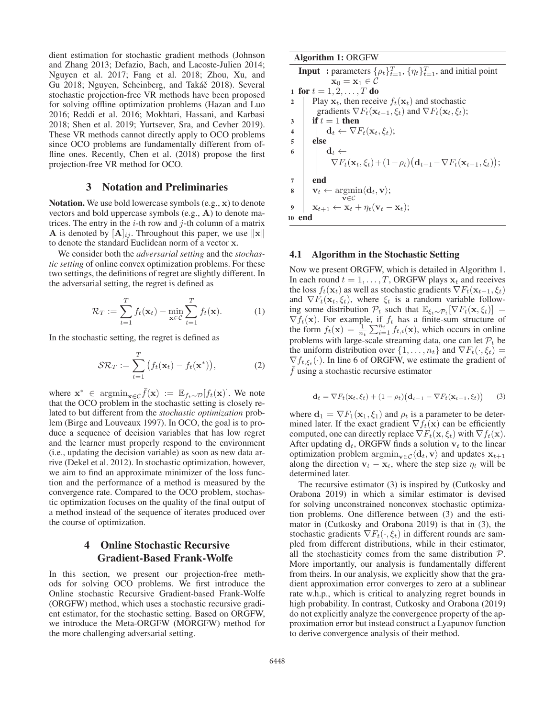dient estimation for stochastic gradient methods (Johnson and Zhang 2013; Defazio, Bach, and Lacoste-Julien 2014; Nguyen et al. 2017; Fang et al. 2018; Zhou, Xu, and Gu 2018; Nguyen, Scheinberg, and Takáč 2018). Several stochastic projection-free VR methods have been proposed for solving offline optimization problems (Hazan and Luo 2016; Reddi et al. 2016; Mokhtari, Hassani, and Karbasi 2018; Shen et al. 2019; Yurtsever, Sra, and Cevher 2019). These VR methods cannot directly apply to OCO problems since OCO problems are fundamentally different from offline ones. Recently, Chen et al. (2018) propose the first projection-free VR method for OCO.

### 3 Notation and Preliminaries

Notation. We use bold lowercase symbols (e.g., **x**) to denote vectors and bold uppercase symbols (e.g., **A**) to denote matrices. The entry in the  $i$ -th row and  $j$ -th column of a matrix **A** is denoted by  $[\mathbf{A}]_{ij}$ . Throughout this paper, we use  $\|\mathbf{x}\|$ to denote the standard Euclidean norm of a vector **x**.

We consider both the *adversarial setting* and the *stochastic setting* of online convex optimization problems. For these two settings, the definitions of regret are slightly different. In the adversarial setting, the regret is defined as

$$
\mathcal{R}_T := \sum_{t=1}^T f_t(\mathbf{x}_t) - \min_{\mathbf{x} \in \mathcal{C}} \sum_{t=1}^T f_t(\mathbf{x}).
$$
 (1)

In the stochastic setting, the regret is defined as

$$
S\mathcal{R}_T := \sum_{t=1}^T \left( f_t(\mathbf{x}_t) - f_t(\mathbf{x}^*) \right),\tag{2}
$$

where  $\mathbf{x}^*$  ∈ argmin<sub> $\mathbf{x} \in \mathcal{E}$   $f(\mathbf{x}) := \mathbb{E}_{f_t \sim \mathcal{D}}[f_t(\mathbf{x})]$ . We note</sub> that the OCO problem in the stochastic setting is closely related to but different from the *stochastic optimization* problem (Birge and Louveaux 1997). In OCO, the goal is to produce a sequence of decision variables that has low regret and the learner must properly respond to the environment (i.e., updating the decision variable) as soon as new data arrive (Dekel et al. 2012). In stochastic optimization, however, we aim to find an approximate minimizer of the loss function and the performance of a method is measured by the convergence rate. Compared to the OCO problem, stochastic optimization focuses on the quality of the final output of a method instead of the sequence of iterates produced over the course of optimization.

# 4 Online Stochastic Recursive Gradient-Based Frank-Wolfe

In this section, we present our projection-free methods for solving OCO problems. We first introduce the Online stochastic Recursive Gradient-based Frank-Wolfe (ORGFW) method, which uses a stochastic recursive gradient estimator, for the stochastic setting. Based on ORGFW, we introduce the Meta-ORGFW (MORGFW) method for the more challenging adversarial setting.

| <b>Algorithm 1: ORGFW</b>                                                                                                          |
|------------------------------------------------------------------------------------------------------------------------------------|
| <b>Input</b> : parameters $\{\rho_t\}_{t=1}^T$ , $\{\eta_t\}_{t=1}^T$ , and initial point                                          |
| $\mathbf{x}_0 = \mathbf{x}_1 \in \mathcal{C}$                                                                                      |
| 1 for $t = 1, 2, , T$ do                                                                                                           |
| Play $x_t$ , then receive $f_t(x_t)$ and stochastic<br>$\mathbf{2}$                                                                |
| gradients $\nabla F_t(\mathbf{x}_{t-1}, \xi_t)$ and $\nabla F_t(\mathbf{x}_t, \xi_t)$ ;                                            |
| if $t=1$ then<br>3                                                                                                                 |
| $\mathbf{d}_t \leftarrow \nabla F_t(\mathbf{x}_t, \xi_t);$<br>$\overline{\mathbf{4}}$                                              |
| 5<br>else                                                                                                                          |
| 6                                                                                                                                  |
| $\mathbf{d}_t \leftarrow \nabla F_t(\mathbf{x}_t, \xi_t) + (1 - \rho_t) (\mathbf{d}_{t-1} - \nabla F_t(\mathbf{x}_{t-1}, \xi_t));$ |
| end<br>7                                                                                                                           |
| $\mathbf{v}_t \leftarrow \operatorname{argmin} \langle \mathbf{d}_t, \mathbf{v} \rangle;$<br>8                                     |
| $\mathbf{v} \in \mathcal{C}$                                                                                                       |
| $\mathbf{x}_{t+1} \leftarrow \mathbf{x}_t + \eta_t (\mathbf{v}_t - \mathbf{x}_t);$<br>9                                            |
| end<br>10                                                                                                                          |

### 4.1 Algorithm in the Stochastic Setting

Now we present ORGFW, which is detailed in Algorithm 1. In each round  $t = 1, \ldots, T$ , ORGFW plays  $\mathbf{x}_t$  and receives the loss  $f_t(\mathbf{x}_t)$  as well as stochastic gradients  $\nabla F_t(\mathbf{x}_{t-1}, \xi_t)$ and  $\nabla F_t(\mathbf{x}_t, \xi_t)$ , where  $\xi_t$  is a random variable following some distribution  $\mathcal{P}_t$  such that  $\mathbb{E}_{\xi_t \sim \mathcal{P}_t}[\nabla F_t(\mathbf{x}, \xi_t)]$ ing some distribution  $\mathcal{P}_t$  such that  $\mathbb{E}_{\xi_t \sim \mathcal{P}_t} [\nabla F_t(\mathbf{x}, \xi_t)] =$ <br> $\nabla f_t(\mathbf{x})$  For example if  $f_t$  has a finite-sum structure of  $\nabla f_t(\mathbf{x})$ . For example, if  $f_t$  has a finite-sum structure of the form  $f_t(\mathbf{x}) = \frac{1}{\sigma} \sum_{i=1}^{n_t} f_{t,i}(\mathbf{x})$  which occurs in online the form  $f_t(\mathbf{x}) = \frac{1}{n_t} \sum_{i=1}^{n_t} f_{t,i}(\mathbf{x})$ , which occurs in online<br>problems with large scale streaming data, one can let  $\mathcal{D}_t$  be problems with large-scale streaming data, one can let  $P_t$  be the uniform distribution over  $\{1,\ldots,n_t\}$  and  $\nabla F_t(\cdot,\xi_t)$  =  $\nabla f_{t,\xi_t}(\cdot)$ . In line 6 of ORGFW, we estimate the gradient of  $\overline{f}$  using a stochastic recursive estimator

$$
\mathbf{d}_t = \nabla F_t(\mathbf{x}_t, \xi_t) + (1 - \rho_t) \big( \mathbf{d}_{t-1} - \nabla F_t(\mathbf{x}_{t-1}, \xi_t) \big) \tag{3}
$$

where  $\mathbf{d}_1 = \nabla F_1(\mathbf{x}_1, \xi_1)$  and  $\rho_t$  is a parameter to be determined later. If the exact gradient  $\nabla f_t(\mathbf{x})$  can be efficiently computed, one can directly replace  $\nabla F_t(\mathbf{x}, \xi_t)$  with  $\nabla f_t(\mathbf{x})$ . After updating  $\mathbf{d}_t$ , ORGFW finds a solution  $\mathbf{v}_t$  to the linear optimization problem  $\argmin_{\mathbf{v} \in C} \langle \mathbf{d}_t, \mathbf{v} \rangle$  and updates  $\mathbf{x}_{t+1}$  along the direction  $\mathbf{v}_t - \mathbf{x}_t$  where the step size  $n_t$  will be along the direction  $\mathbf{v}_t - \mathbf{x}_t$ , where the step size  $\eta_t$  will be determined later.

The recursive estimator (3) is inspired by (Cutkosky and Orabona 2019) in which a similar estimator is devised for solving unconstrained nonconvex stochastic optimization problems. One difference between (3) and the estimator in (Cutkosky and Orabona 2019) is that in (3), the stochastic gradients  $\nabla F_t(\cdot, \xi_t)$  in different rounds are sampled from different distributions, while in their estimator, all the stochasticity comes from the same distribution  $P$ . More importantly, our analysis is fundamentally different from theirs. In our analysis, we explicitly show that the gradient approximation error converges to zero at a sublinear rate w.h.p., which is critical to analyzing regret bounds in high probability. In contrast, Cutkosky and Orabona (2019) do not explicitly analyze the convergence property of the approximation error but instead construct a Lyapunov function to derive convergence analysis of their method.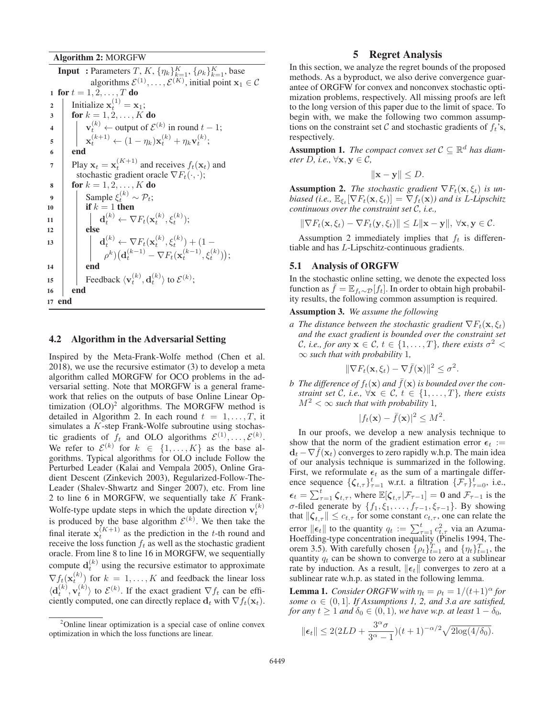#### Algorithm 2: MORGFW

**Input**: Parameters  $T, K, \{\eta_k\}_{k=1}^K, \{\rho_k\}_{k=1}^K$ , base algorithms  $\mathcal{E}^{(1)}, \ldots, \mathcal{E}^{(K)}$ , initial point  $\mathbf{x}_1 \in \mathcal{C}$ 1 for  $t = 1, 2, ..., T$  do<br>2 | Initialize  $\mathbf{x}_t^{(1)} = \mathbf{x}_t$  $\begin{array}{c} \mathbf{z} \\ \mathbf{z} \\ \mathbf{z} \end{array}$  Initialize  $\mathbf{x}_t^{(1)} = \mathbf{x}_1;$  $\text{for } k = 1, 2, \ldots, K \text{ do}$ 4<br> **v**<sub>t</sub><sup>(k)</sup> ← output of  $\mathcal{E}^{(k)}$  in round  $t - 1$ ;<br> **x**<sub>t</sub><sup>(k+1)</sup> ← (1 − η<sub>k</sub>)**x**<sub>t</sub><sup>(k)</sup> + η<sub>k</sub>**v**<sub>t</sub><sup>(k)</sup>;  $6 \quad | \quad \text{end}$ Play  $\mathbf{x}_t = \mathbf{x}_t^{(K+1)}$  and receives  $f_t(\mathbf{x}_t)$  and stochastic gradient oracle  $\nabla F_t(\cdot, \cdot)$ . stochastic gradient oracle  $\nabla F_t(\cdot, \cdot);$ 8 for  $k = 1, 2, ..., K$  do<br>9 Sample  $\xi_t^{(k)} \sim \mathcal{P}_t$ ; 10 **if**  $k = 1$  then<br>
11 **d**<sub>t</sub><sup>(k)</sup>  $\leftarrow \nabla F_t(\mathbf{x}_t^{(k)}, \xi_t^{(k)});$ <br>
12 **else** 12 **else** 13 **d** $_{t}^{(k)} \leftarrow \nabla F_t(\mathbf{x}_t^{(k)}, \xi_t^{(k)}) + (1 - \nabla F_t(\mathbf{x}_t^{(k)}, \xi_t^{(k)}) + \mathbf{1} - \nabla F_t(\xi_t^{(k-1)}, \xi_t^{(k-1)})$  $\rho^{k}$  $\left(\mathbf{d}_{t}^{(k-1)} - \nabla F_{t}(\mathbf{x}_{t}^{(k-1)}, \xi_{t}^{(k)})\right);$ 14 end 15 **Feedback**  $\langle \mathbf{v}_t^{(k)}, \mathbf{d}_t^{(k)} \rangle$  to  $\mathcal{E}^{(k)}$ ; <sup>16</sup> end <sup>17</sup> end

#### 4.2 Algorithm in the Adversarial Setting

Inspired by the Meta-Frank-Wolfe method (Chen et al. 2018), we use the recursive estimator (3) to develop a meta algorithm called MORGFW for OCO problems in the adversarial setting. Note that MORGFW is a general framework that relies on the outputs of base Online Linear Optimization  $(OLO)^2$  algorithms. The MORGFW method is detailed in Algorithm 2. In each round  $t = 1, \ldots, T$ , it simulates a K-step Frank-Wolfe subroutine using stochastic gradients of  $f_t$  and OLO algorithms  $\mathcal{E}^{(1)}, \ldots, \mathcal{E}^{(k)}$ . We refer to  $\mathcal{E}^{(k)}$  for  $k \in \{1, ..., K\}$  as the base algorithms. Typical algorithms for OLO include Follow the Perturbed Leader (Kalai and Vempala 2005), Online Gradient Descent (Zinkevich 2003), Regularized-Follow-The-Leader (Shalev-Shwartz and Singer 2007), etc. From line 2 to line 6 in MORGFW, we sequentially take  $K$  Frank-Wolfe-type update steps in which the update direction  $\mathbf{v}_t^{(k)}$ is produced by the base algorithm  $\mathcal{E}^{(k)}$ . We then take the final iterate  $x_t^{(K+1)}$  as the prediction in the t-th round and receive the loss function  $f_t$  as well as the stochastic gradient oracle. From line 8 to line 16 in MORGFW, we sequentially compute  $\mathbf{d}_t^{(k)}$  using the recursive estimator to approximate  $\nabla f_t(\mathbf{x}_t^{(k)})$  for  $k = 1, ..., K$  and feedback the linear loss  $\langle \mathbf{d}_t^{(k)}, \mathbf{v}_t^{(k)} \rangle$  to  $\mathcal{E}^{(k)}$ . If the exact gradient  $\nabla f_t$  can be efficiently computed, one can directly replace  $\mathbf{d}_t$  with  $\nabla f_t(\mathbf{x}_t)$ .

### 5 Regret Analysis

In this section, we analyze the regret bounds of the proposed methods. As a byproduct, we also derive convergence guarantee of ORGFW for convex and nonconvex stochastic optimization problems, respectively. All missing proofs are left to the long version of this paper due to the limit of space. To begin with, we make the following two common assumptions on the constraint set C and stochastic gradients of  $f_t$ 's, respectively.

Assumption 1. *The compact convex set*  $C \subseteq \mathbb{R}^d$  *has diameter D, i.e.,*  $\forall$ **x***,*  $\mathbf{y} \in C$ *,* 

$$
\|\mathbf{x} - \mathbf{y}\| \le D.
$$

**Assumption 2.** *The stochastic gradient*  $\nabla F_t(\mathbf{x}, \xi_t)$  *is unbiased (i.e.,*  $\mathbb{E}_{\xi_t}[\nabla F_t(\mathbf{x}, \xi_t)] = \nabla f_t(\mathbf{x})$ *) and is L-Lipschitz continuous over the constraint set* C*, i.e.,*

 $\|\nabla F_t(\mathbf{x}, \xi_t) - \nabla F_t(\mathbf{y}, \xi_t)\| \leq L \|\mathbf{x} - \mathbf{y}\|, \ \forall \mathbf{x}, \mathbf{y} \in \mathcal{C}.$ 

Assumption 2 immediately implies that  $f_t$  is differentiable and has L-Lipschitz-continuous gradients.

#### 5.1 Analysis of ORGFW

In the stochastic online setting, we denote the expected loss function as  $f = \mathbb{E}_{f_t \sim \mathcal{D}}[f_t]$ . In order to obtain high probability results, the following common assumption is required.

#### Assumption 3. *We assume the following*

*a The distance between the stochastic gradient*  $\nabla F_t(\mathbf{x}, \xi_t)$ *and the exact gradient is bounded over the constraint set C*, *i.e., for any*  $\mathbf{x} \in \mathcal{C}$ ,  $t \in \{1, \ldots, T\}$ , there exists  $\sigma^2$  < <sup>∞</sup> *such that with probability* 1*,*

$$
\|\nabla F_t(\mathbf{x}, \xi_t) - \nabla \bar{f}(\mathbf{x})\|^2 \leq \sigma^2.
$$

*b* The difference of  $f_t(\mathbf{x})$  and  $\bar{f}(\mathbf{x})$  is bounded over the constraint set  $\hat{f}$  i.e.  $\forall \mathbf{x} \in \hat{f}$   $t \in \{1, \dots, T\}$  there exists *straint set* C, *i.e.*,  $\forall$ **x**  $\in$  C,  $t \in \{1, ..., T\}$ *, there exists*  $M^2 < \infty$  *such that with probability* 1,

$$
|f_t(\mathbf{x}) - \bar{f}(\mathbf{x})|^2 \le M^2.
$$

In our proofs, we develop a new analysis technique to show that the norm of the gradient estimation error  $\epsilon_t := d_t - \nabla \bar{f}(\mathbf{x})$  converges to zero rapidly wh p. The main idea  $\mathbf{d}_t - \nabla f(\mathbf{x}_t)$  converges to zero rapidly w.h.p. The main idea of our analysis technique is summarized in the following. First, we reformulate  $\epsilon_t$  as the sum of a martingale difference sequence  $\{\zeta_{t,\tau}\}_{\tau=1}^t$  w.r.t. a filtration  $\{\mathcal{F}^{\zeta}_{\tau}\}_{\tau=0}^t$ , i.e.,  $\epsilon_t = \sum_{\tau=1}^t \zeta_{t,\tau}$ , where  $\mathbb{E}[\zeta_{t,\tau} | \mathcal{F}_{\tau-1}] = 0$  and  $\mathcal{F}_{\tau-1}$  is the  $σ$ -filed generate by { $f_1$ , ξ<sub>1</sub>,...,  $f_{τ-1}$ , ξ<sub>τ−1</sub>}. By showing that  $\|\boldsymbol{\zeta}_{t,\tau}\| \leq c_{t,\tau}$  for some constant  $c_{t,\tau}$ , one can relate the error  $\|\epsilon_t\|$  to the quantity  $q_t := \sum_{\tau=1}^t c_{t,\tau}^2$  via an Azuma-<br>Hoeffding-type concentration inequality (Pinelis 1994 The-Hoeffding-type concentration inequality (Pinelis 1994, Theorem 3.5). With carefully chosen  $\{\rho_t\}_{t=1}^T$  and  $\{\eta_t\}_{t=1}^T$ , the quantity  $q_t$  can be shown to converge to zero at a sublinear rate by induction. As a result,  $||\boldsymbol{\epsilon}_t||$  converges to zero at a sublinear rate w.h.p. as stated in the following lemma.

**Lemma 1.** *Consider ORGFW with*  $\eta_t = \rho_t = 1/(t+1)^\alpha$  *for some*  $\alpha \in (0, 1]$ *. If Assumptions 1, 2, and 3.a are satisfied, for any*  $t \geq 1$  *and*  $\delta_0 \in (0, 1)$ *, we have w.p. at least*  $1 - \delta_0$ *,* 

$$
\|\boldsymbol{\epsilon}_t\| \le 2(2LD + \frac{3^{\alpha}\sigma}{3^{\alpha}-1})(t+1)^{-\alpha/2}\sqrt{2\log(4/\delta_0)}.
$$

<sup>&</sup>lt;sup>2</sup>Online linear optimization is a special case of online convex optimization in which the loss functions are linear.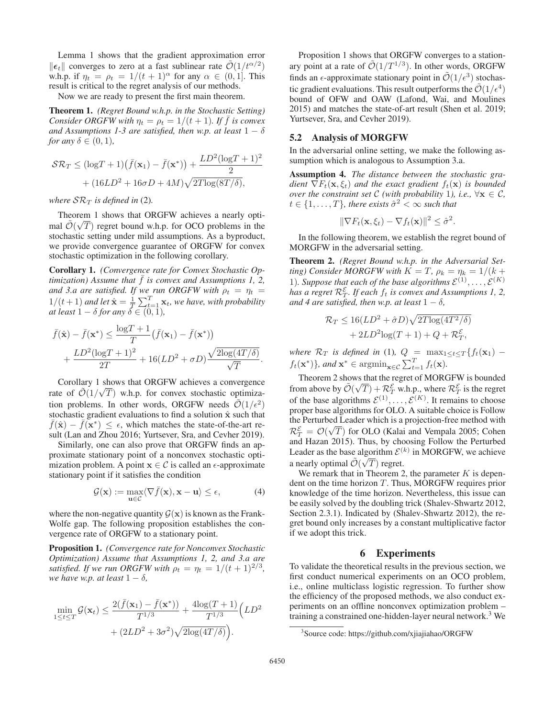Lemma 1 shows that the gradient approximation error  $\|\epsilon_t\|$  converges to zero at a fast sublinear rate  $\tilde{\mathcal{O}}(1/t^{\alpha/2})$ <br>wh p if  $n_t = \alpha_t = 1/(t+1)^{\alpha}$  for any  $\alpha \in (0, 1]$  This w.h.p. if  $\eta_t = \rho_t = 1/(t+1)^\alpha$  for any  $\alpha \in (0,1]$ . This result is critical to the regret analysis of our methods.

Now we are ready to present the first main theorem.

Theorem 1. *(Regret Bound w.h.p. in the Stochastic Setting) Consider ORGFW with*  $\eta_t = \rho_t = 1/(t+1)$ *. If*  $\bar{f}$  *is convex and Assumptions 1-3 are satisfied, then w.p. at least*  $1 - \delta$ *for any*  $\delta \in (0, 1)$ *,* 

$$
\mathcal{SR}_T \leq (\log T + 1)(\bar{f}(\mathbf{x}_1) - \bar{f}(\mathbf{x}^*)) + \frac{LD^2(\log T + 1)^2}{2}
$$

$$
+ (16LD^2 + 16\sigma D + 4M)\sqrt{2T\log(8T/\delta)},
$$

*where*  $S_{\mathcal{R}_T}$  *is defined in* (2).

Theorem 1 shows that ORGFW achieves a nearly opti-<br> $\tilde{z}$  ( $\overline{z}$ ) mal  $\mathcal{O}(\sqrt{T})$  regret bound w.h.p. for OCO problems in the stochastic setting under mild assumptions. As a byproduct stochastic setting under mild assumptions. As a byproduct, we provide convergence guarantee of ORGFW for convex stochastic optimization in the following corollary.

Corollary 1. *(Convergence rate for Convex Stochastic Optimization) Assume that*  $f$  *is convex and Assumptions 1, 2, and 3.a are satisfied. If we run ORGFW with*  $\rho_t = \eta_t =$ *and 3.a are satisfied. If we run ORGFW with*  $\rho_t = \eta_t = 1/(t+1)$  and let  $\hat{\mathbf{x}} = 1 \sum_{k=1}^{T} \mathbf{x}$ , we have with probability  $1/(t+1)$  and let  $\hat{\mathbf{x}} = \frac{1}{T} \sum_{t=1}^{T} \mathbf{x}_t$ , we have, with probability at least  $1 - \delta$  for any  $\delta \in (0, 1)$ *at least*  $1 - \delta$  *for any*  $\delta \in (0, 1)$ *,* 

$$
\overline{f}(\hat{\mathbf{x}}) - \overline{f}(\mathbf{x}^*) \le \frac{\log T + 1}{T} (\overline{f}(\mathbf{x}_1) - \overline{f}(\mathbf{x}^*)) + \frac{LD^2(\log T + 1)^2}{2T} + 16(LD^2 + \sigma D) \frac{\sqrt{2\log(4T/\delta)}}{\sqrt{T}}.
$$

Corollary 1 shows that ORGFW achieves a convergence rate of  $\mathcal{O}(1/\sqrt{T})$  w.h.p. for convex stochastic optimiza-<br>tion problems. In other words, OBGEW needs  $\tilde{\mathcal{O}}(1/\epsilon^2)$ tion problems. In other words, ORGFW needs  $\mathcal{O}(1/\epsilon^2)$ stochastic gradient evaluations to find a solution  $\hat{\mathbf{x}}$  such that  $\bar{f}(\hat{\mathbf{x}}) - \bar{f}(\mathbf{x}^*) \leq \epsilon$ , which matches the state-of-the-art result (Lan and Zhou 2016; Yurtsever, Sra, and Cevher 2019).

Similarly, one can also prove that ORGFW finds an approximate stationary point of a nonconvex stochastic optimization problem. A point  $x \in C$  is called an  $\epsilon$ -approximate stationary point if it satisfies the condition

$$
\mathcal{G}(\mathbf{x}) := \max_{\mathbf{u} \in \mathcal{C}} \langle \nabla \bar{f}(\mathbf{x}), \mathbf{x} - \mathbf{u} \rangle \le \epsilon,
$$
 (4)

where the non-negative quantity  $\mathcal{G}(\mathbf{x})$  is known as the Frank-Wolfe gap. The following proposition establishes the convergence rate of ORGFW to a stationary point.

Proposition 1. *(Convergence rate for Nonconvex Stochastic Optimization) Assume that Assumptions 1, 2, and 3.a are satisfied. If we run ORGFW with*  $\rho_t = \eta_t = 1/(t+1)^{2/3}$ , *we have w.p. at least*  $1 - \delta$ *,* 

$$
\min_{1 \le t \le T} \mathcal{G}(\mathbf{x}_t) \le \frac{2(\bar{f}(\mathbf{x}_1) - \bar{f}(\mathbf{x}^*))}{T^{1/3}} + \frac{4\log(T+1)}{T^{1/3}} \Big( LD^2 + (2LD^2 + 3\sigma^2)\sqrt{2\log(4T/\delta)} \Big).
$$

Proposition 1 shows that ORGFW converges to a stationary point at a rate of  $\tilde{\mathcal{O}}(1/T^{1/3})$ . In other words, ORGFW finds an  $\epsilon$ -approximate stationary point in  $\mathcal{O}(1/\epsilon^3)$  stochastic gradient evaluations. This result outperforms the  $\tilde{\mathcal{O}}(1/\epsilon^4)$ bound of OFW and OAW (Lafond, Wai, and Moulines 2015) and matches the state-of-art result (Shen et al. 2019; Yurtsever, Sra, and Cevher 2019).

#### 5.2 Analysis of MORGFW

In the adversarial online setting, we make the following assumption which is analogous to Assumption 3.a.

Assumption 4. *The distance between the stochastic gradient*  $\nabla F_t(\mathbf{x}, \xi_t)$  *and the exact gradient*  $f_t(\mathbf{x})$  *is bounded over the constraint set*  $C$  *(with probability 1), i.e.,*  $\forall x \in C$ *,*  $t \in \{1, \ldots, T\}$ , there exists  $\hat{\sigma}^2 < \infty$  such that

$$
\|\nabla F_t(\mathbf{x}, \xi_t) - \nabla f_t(\mathbf{x})\|^2 \leq \hat{\sigma}^2.
$$

In the following theorem, we establish the regret bound of MORGFW in the adversarial setting.

Theorem 2. *(Regret Bound w.h.p. in the Adversarial Setting)* Consider MORGFW with  $K = T$ ,  $\rho_k = \eta_k = 1/(k +$ 1). Suppose that each of the base algorithms  $\mathcal{E}^{(1)},\ldots,\mathcal{E}^{(K)}$ has a regret  $\mathcal{R}_T^{\mathcal{E}}$ *. If each*  $f_t$  *is convex and Assumptions 1, 2, and* 4 are satisfied, then w.p. at least  $1 - \delta$ ,

$$
\mathcal{R}_T \le 16(LD^2 + \hat{\sigma}D)\sqrt{2T\log(4T^2/\delta)}
$$

$$
+ 2LD^2\log(T+1) + Q + \mathcal{R}_T^{\mathcal{E}},
$$

*where*  $\mathcal{R}_T$  *is defined in* (1)*,*  $Q = \max_{1 \le t \le T} \{f_t(\mathbf{x}_1) - f_t(\mathbf{x}_2)\}$   $\sum_{t=0}^{T} f_t(\mathbf{x}_1)$  $f_t(\mathbf{x}^*)$ , and  $\mathbf{x}^* \in \operatorname{argmin}_{\mathbf{x} \in \mathcal{C}} \sum_{t=1}^T f_t(\mathbf{x})$ .

Theorem 2 shows that the regret of MORGFW is bounded from above by  $\mathcal{O}(\sqrt{T}) + \mathcal{R}_T^{\mathcal{E}}$  w.h.p., where  $\mathcal{R}_T^{\mathcal{E}}$  is the regret of the base algorithms  $\mathcal{E}^{(1)}$ of the base algorithms  $\mathcal{E}^{(1)}, \ldots, \mathcal{E}^{(K)}$ . It remains to choose proper base algorithms for OLO. A suitable choice is Follow the Perturbed Leader which is a projection-free method with  $\mathcal{R}_T^{\mathcal{E}} = \mathcal{O}(\sqrt{T})$  for OLO (Kalai and Vempala 2005; Cohen and Hazan 2015). Thus by choosing Follow the Perturbed and Hazan 2015). Thus, by choosing Follow the Perturbed Leader as the base algorithm  $\mathcal{E}^{(k)}$  in MORGFW, we achieve a nearly optimal  $\mathcal{O}(\sqrt{T})$  regret.<br>We remark that in Theorem 2

We remark that in Theorem 2, the parameter  $K$  is dependent on the time horizon  $T$ . Thus, MORGFW requires prior knowledge of the time horizon. Nevertheless, this issue can be easily solved by the doubling trick (Shalev-Shwartz 2012, Section 2.3.1). Indicated by (Shalev-Shwartz 2012), the regret bound only increases by a constant multiplicative factor if we adopt this trick.

### 6 Experiments

To validate the theoretical results in the previous section, we first conduct numerical experiments on an OCO problem, i.e., online multiclass logistic regression. To further show the efficiency of the proposed methods, we also conduct experiments on an offline nonconvex optimization problem – training a constrained one-hidden-layer neural network.<sup>3</sup> We

<sup>3</sup> Source code: https://github.com/xjiajiahao/ORGFW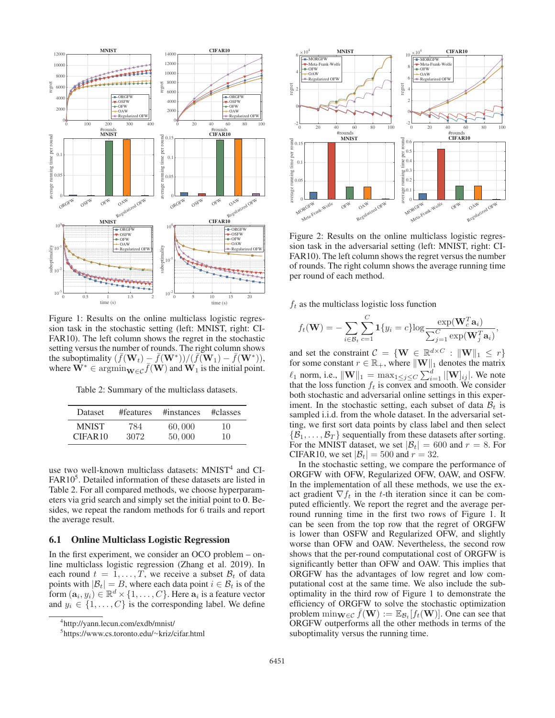

Figure 1: Results on the online multiclass logistic regression task in the stochastic setting (left: MNIST, right: CI-FAR10). The left column shows the regret in the stochastic setting versus the number of rounds. The right column shows the suboptimality  $(\bar{f}(\mathbf{W}_t) - \bar{f}(\mathbf{W}^*))/(\bar{f}(\mathbf{W}_1) - \bar{f}(\mathbf{W}^*))$ ,<br>where  $\mathbf{W}^* \in \operatorname{arcsmin}_{\mathbf{W}_t \in \mathcal{F}} (\mathbf{W})$  and  $\mathbf{W}_t$  is the initial point where  $\mathbf{W}^* \in \operatorname{argmin}_{\mathbf{W} \in \mathcal{C}} \overline{f}(\mathbf{W})$  and  $\mathbf{W}_1$  is the initial point.

Table 2: Summary of the multiclass datasets.

| <b>Dataset</b> | #features | #instances | #classes |
|----------------|-----------|------------|----------|
| <b>MNIST</b>   | 784       | 60,000     | 10       |
| CIFAR10        | 3072      | 50,000     | 10       |

use two well-known multiclass datasets:  $MNIST<sup>4</sup>$  and CI-FAR10<sup>5</sup>. Detailed information of these datasets are listed in Table 2. For all compared methods, we choose hyperparameters via grid search and simply set the initial point to **0**. Besides, we repeat the random methods for 6 trails and report the average result.

#### 6.1 Online Multiclass Logistic Regression

In the first experiment, we consider an OCO problem – online multiclass logistic regression (Zhang et al. 2019). In each round  $t = 1, ..., T$ , we receive a subset  $\mathcal{B}_t$  of data points with  $|\mathcal{B}_t| = B$ , where each data point  $i \in \mathcal{B}_t$  is of the form  $(\mathbf{a}_i, y_i) \in \mathbb{R}^d \times \{1, \ldots, C\}$ . Here  $\mathbf{a}_i$  is a feature vector and  $y_i \in \{1, \ldots, C\}$  is the corresponding label. We define



Figure 2: Results on the online multiclass logistic regression task in the adversarial setting (left: MNIST, right: CI-FAR10). The left column shows the regret versus the number of rounds. The right column shows the average running time per round of each method.

 $f_t$  as the multiclass logistic loss function

$$
f_t(\mathbf{W}) = -\sum_{i \in \mathcal{B}_t} \sum_{c=1}^C \mathbf{1}\{y_i = c\} \log \frac{\exp(\mathbf{W}_c^T \mathbf{a}_i)}{\sum_{j=1}^C \exp(\mathbf{W}_j^T \mathbf{a}_i)},
$$

and set the constraint  $C = \{ \mathbf{W} \in \mathbb{R}^{d \times C} : ||\mathbf{W}||_1 \leq r \}$  for some constant  $r \in \mathbb{R}_+$ , where  $||\mathbf{W}||_1$  denotes the matrix  $\ell_1$  norm, i.e.,  $\|\mathbf{W}\|_1 = \max_{1 \leq j \leq C} \sum_{i=1}^d |[\mathbf{W}]_{ij}|$ . We note that the loss function  $f_i$  is convex and smooth. We consider that the loss function  $f_t$  is convex and smooth. We consider both stochastic and adversarial online settings in this experiment. In the stochastic setting, each subset of data  $B_t$  is sampled i.i.d. from the whole dataset. In the adversarial setting, we first sort data points by class label and then select  $\{\mathcal{B}_1,\ldots,\mathcal{B}_T\}$  sequentially from these datasets after sorting. For the MNIST dataset, we set  $|\mathcal{B}_t| = 600$  and  $r = 8$ . For CIFAR10, we set  $|\mathcal{B}_t| = 500$  and  $r = 32$ .

In the stochastic setting, we compare the performance of ORGFW with OFW, Regularized OFW, OAW, and OSFW. In the implementation of all these methods, we use the exact gradient  $\nabla f_t$  in the t-th iteration since it can be computed efficiently. We report the regret and the average perround running time in the first two rows of Figure 1. It can be seen from the top row that the regret of ORGFW is lower than OSFW and Regularized OFW, and slightly worse than OFW and OAW. Nevertheless, the second row shows that the per-round computational cost of ORGFW is significantly better than OFW and OAW. This implies that ORGFW has the advantages of low regret and low computational cost at the same time. We also include the suboptimality in the third row of Figure 1 to demonstrate the efficiency of ORGFW to solve the stochastic optimization problem  $\min_{\mathbf{W} \in \mathcal{C}} \bar{f}(\mathbf{W}) := \mathbb{E}_{\mathcal{B}_t}[f_t(\mathbf{W})].$  One can see that ORGFW outperforms all the other methods in terms of the suboptimality versus the running time.

<sup>4</sup> http://yann.lecun.com/exdb/mnist/

<sup>5</sup> https://www.cs.toronto.edu/∼kriz/cifar.html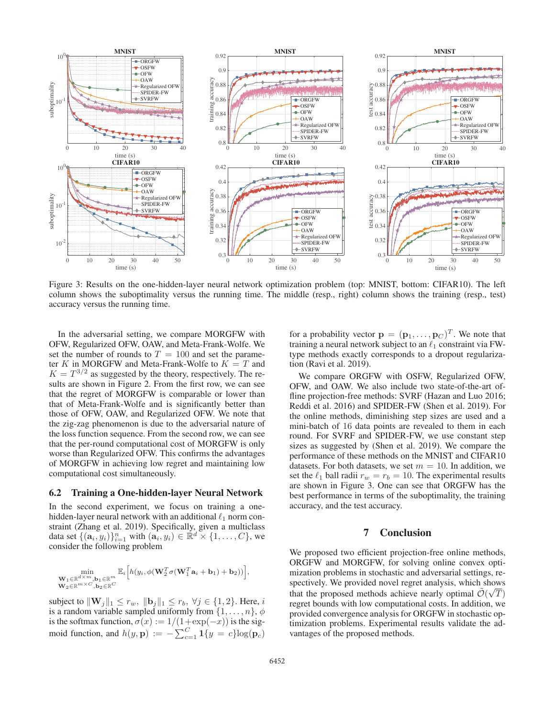

Figure 3: Results on the one-hidden-layer neural network optimization problem (top: MNIST, bottom: CIFAR10). The left column shows the suboptimality versus the running time. The middle (resp., right) column shows the training (resp., test) accuracy versus the running time.

In the adversarial setting, we compare MORGFW with OFW, Regularized OFW, OAW, and Meta-Frank-Wolfe. We set the number of rounds to  $T = 100$  and set the parameter K in MORGFW and Meta-Frank-Wolfe to  $K = T$  and  $K = T^{3/2}$  as suggested by the theory, respectively. The results are shown in Figure 2. From the first row, we can see that the regret of MORGFW is comparable or lower than that of Meta-Frank-Wolfe and is significantly better than those of OFW, OAW, and Regularized OFW. We note that the zig-zag phenomenon is due to the adversarial nature of the loss function sequence. From the second row, we can see that the per-round computational cost of MORGFW is only worse than Regularized OFW. This confirms the advantages of MORGFW in achieving low regret and maintaining low computational cost simultaneously.

### 6.2 Training a One-hidden-layer Neural Network

In the second experiment, we focus on training a onehidden-layer neural network with an additional  $\ell_1$  norm constraint (Zhang et al. 2019). Specifically, given a multiclass data set  $\{(\mathbf{a}_i, y_i)\}_{i=1}^n$  with  $(\mathbf{a}_i, y_i) \in \mathbb{R}^d \times \{1, \ldots, C\}$ , we consider the following problem consider the following problem

$$
\min_{\substack{\mathbf{W}_1 \in \mathbb{R}^{d \times m}, \mathbf{b}_1 \in \mathbb{R}^m \\ \mathbf{W}_2 \in \mathbb{R}^{m \times C}, \mathbf{b}_2 \in \mathbb{R}^C}} \mathbb{E}_i \Big[ h(y_i, \phi(\mathbf{W}_2^T \sigma(\mathbf{W}_1^T \mathbf{a}_i + \mathbf{b}_1) + \mathbf{b}_2)) \Big],
$$

subject to  $\|\mathbf{W}_j\|_1 \leq r_w$ ,  $\|\mathbf{b}_j\|_1 \leq r_b$ ,  $\forall j \in \{1, 2\}$ . Here, i is a random variable sampled uniformly from  $\{1,\ldots,n\}$ ,  $\phi$ is the softmax function,  $\sigma(x) := 1/(1+\exp(-x))$  is the sig-<br>moid function, and  $h(x, y) := \sum_{n=0}^{n} 1(x - a)\log(n)$ . moid function, and  $h(y, \mathbf{p}) := -\sum_{c=1}^{C} \mathbf{1}\{y = c\} \log(\mathbf{p}_c)$ 

for a probability vector  $\mathbf{p} = (\mathbf{p}_1, \dots, \mathbf{p}_C)^T$ . We note that training a neural network subject to an  $\ell_1$  constraint via FWtype methods exactly corresponds to a dropout regularization (Ravi et al. 2019).

We compare ORGFW with OSFW, Regularized OFW, OFW, and OAW. We also include two state-of-the-art offline projection-free methods: SVRF (Hazan and Luo 2016; Reddi et al. 2016) and SPIDER-FW (Shen et al. 2019). For the online methods, diminishing step sizes are used and a mini-batch of 16 data points are revealed to them in each round. For SVRF and SPIDER-FW, we use constant step sizes as suggested by (Shen et al. 2019). We compare the performance of these methods on the MNIST and CIFAR10 datasets. For both datasets, we set  $m = 10$ . In addition, we set the  $\ell_1$  ball radii  $r_w = r_b = 10$ . The experimental results are shown in Figure 3. One can see that ORGFW has the best performance in terms of the suboptimality, the training accuracy, and the test accuracy.

### 7 Conclusion

We proposed two efficient projection-free online methods, ORGFW and MORGFW, for solving online convex optimization problems in stochastic and adversarial settings, respectively. We provided novel regret analysis, which shows that the proposed methods achieve nearly optimal  $\mathcal{O}(\sqrt{T})$ <br>regret bounds with low computational costs. In addition, we regret bounds with low computational costs. In addition, we provided convergence analysis for ORGFW in stochastic optimization problems. Experimental results validate the advantages of the proposed methods.